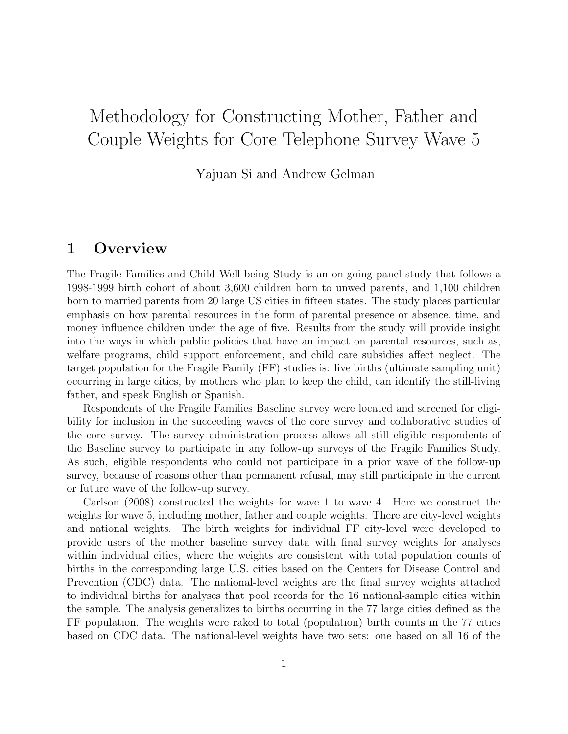# Methodology for Constructing Mother, Father and Couple Weights for Core Telephone Survey Wave 5

Yajuan Si and Andrew Gelman

# 1 Overview

The Fragile Families and Child Well-being Study is an on-going panel study that follows a 1998-1999 birth cohort of about 3,600 children born to unwed parents, and 1,100 children born to married parents from 20 large US cities in fifteen states. The study places particular emphasis on how parental resources in the form of parental presence or absence, time, and money influence children under the age of five. Results from the study will provide insight into the ways in which public policies that have an impact on parental resources, such as, welfare programs, child support enforcement, and child care subsidies affect neglect. The target population for the Fragile Family (FF) studies is: live births (ultimate sampling unit) occurring in large cities, by mothers who plan to keep the child, can identify the still-living father, and speak English or Spanish.

Respondents of the Fragile Families Baseline survey were located and screened for eligibility for inclusion in the succeeding waves of the core survey and collaborative studies of the core survey. The survey administration process allows all still eligible respondents of the Baseline survey to participate in any follow-up surveys of the Fragile Families Study. As such, eligible respondents who could not participate in a prior wave of the follow-up survey, because of reasons other than permanent refusal, may still participate in the current or future wave of the follow-up survey.

Carlson (2008) constructed the weights for wave 1 to wave 4. Here we construct the weights for wave 5, including mother, father and couple weights. There are city-level weights and national weights. The birth weights for individual FF city-level were developed to provide users of the mother baseline survey data with final survey weights for analyses within individual cities, where the weights are consistent with total population counts of births in the corresponding large U.S. cities based on the Centers for Disease Control and Prevention (CDC) data. The national-level weights are the final survey weights attached to individual births for analyses that pool records for the 16 national-sample cities within the sample. The analysis generalizes to births occurring in the 77 large cities defined as the FF population. The weights were raked to total (population) birth counts in the 77 cities based on CDC data. The national-level weights have two sets: one based on all 16 of the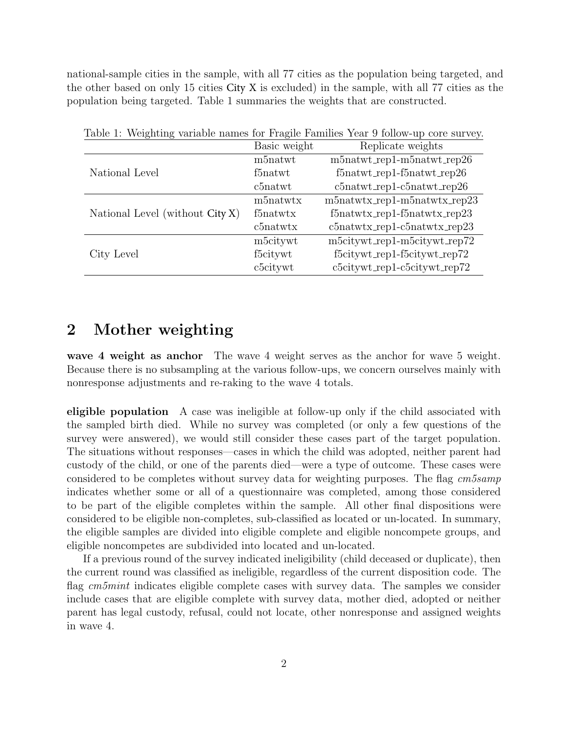national-sample cities in the sample, with all 77 cities as the population being targeted, and the other based on only 15 cities City X is excluded) in the sample, with all 77 cities as the population being targeted. Table 1 summaries the weights that are constructed.

|                                 |              | Table 1. Weighting variable hanes for Frague Families Tear 9 follow-up core survey. |
|---------------------------------|--------------|-------------------------------------------------------------------------------------|
|                                 | Basic weight | Replicate weights                                                                   |
|                                 | m5natwt      | m5natwt_rep1-m5natwt_rep26                                                          |
| National Level                  | f5natwt      | $f5natwt_{rep1-f5natwt_{rep26}$                                                     |
|                                 | c5natwt      | $c5natwt_{rep1-c5natwt_{rep26}$                                                     |
|                                 | m5natwtx     | $m5$ natwtx_rep1-m $5$ natwtx_rep23                                                 |
| National Level (without City X) | f5natwtx     | $f5natwtx_rep1-f5natwtx_rep23$                                                      |
|                                 | $c5$ natwtx  | $c5natwtx_rep1-c5natwtx_rep23$                                                      |
|                                 | m5citywt     | m5citywt_rep1-m5citywt_rep72                                                        |
| City Level                      | f5citywt     | f5citywt_rep1-f5citywt_rep72                                                        |
|                                 | c5citywt     | c5citywt_rep1-c5citywt_rep72                                                        |

Table 1: Weighting variable names for Fragile Families Year 9 follow-up core survey.

# 2 Mother weighting

wave 4 weight as anchor The wave 4 weight serves as the anchor for wave 5 weight. Because there is no subsampling at the various follow-ups, we concern ourselves mainly with nonresponse adjustments and re-raking to the wave 4 totals.

eligible population A case was ineligible at follow-up only if the child associated with the sampled birth died. While no survey was completed (or only a few questions of the survey were answered), we would still consider these cases part of the target population. The situations without responses—cases in which the child was adopted, neither parent had custody of the child, or one of the parents died—were a type of outcome. These cases were considered to be completes without survey data for weighting purposes. The flag cm5samp indicates whether some or all of a questionnaire was completed, among those considered to be part of the eligible completes within the sample. All other final dispositions were considered to be eligible non-completes, sub-classified as located or un-located. In summary, the eligible samples are divided into eligible complete and eligible noncompete groups, and eligible noncompetes are subdivided into located and un-located.

If a previous round of the survey indicated ineligibility (child deceased or duplicate), then the current round was classified as ineligible, regardless of the current disposition code. The flag cm5mint indicates eligible complete cases with survey data. The samples we consider include cases that are eligible complete with survey data, mother died, adopted or neither parent has legal custody, refusal, could not locate, other nonresponse and assigned weights in wave 4.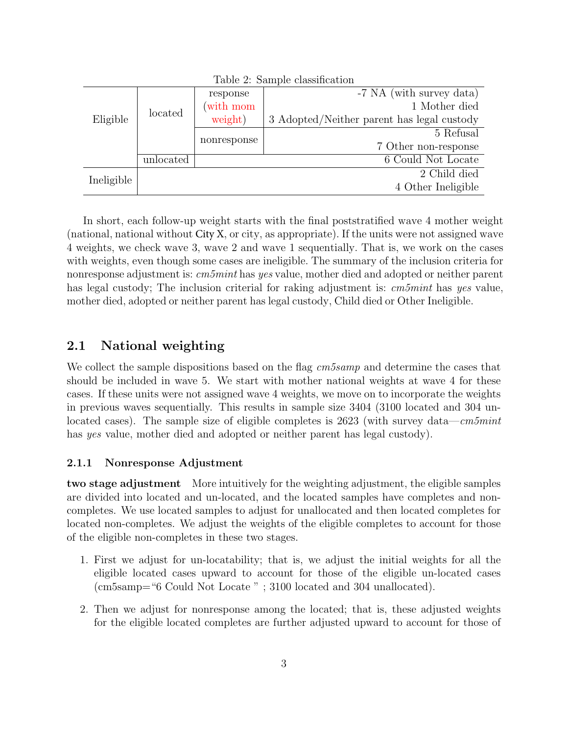|            | $\text{10010}$ $\text{1000}$ $\text{1000}$ |             |                                            |  |  |  |  |  |  |  |
|------------|--------------------------------------------|-------------|--------------------------------------------|--|--|--|--|--|--|--|
|            | located                                    | response    | -7 NA (with survey data)                   |  |  |  |  |  |  |  |
|            |                                            | (with mom   | 1 Mother died                              |  |  |  |  |  |  |  |
| Eligible   |                                            | weight)     | 3 Adopted/Neither parent has legal custody |  |  |  |  |  |  |  |
|            |                                            |             | 5 Refusal                                  |  |  |  |  |  |  |  |
|            |                                            | nonresponse | 7 Other non-response                       |  |  |  |  |  |  |  |
|            | unlocated                                  |             | 6 Could Not Locate                         |  |  |  |  |  |  |  |
|            |                                            |             | 2 Child died                               |  |  |  |  |  |  |  |
| Ineligible |                                            |             | 4 Other Ineligible                         |  |  |  |  |  |  |  |

Table 2: Sample classification

In short, each follow-up weight starts with the final poststratified wave 4 mother weight (national, national without City X, or city, as appropriate). If the units were not assigned wave 4 weights, we check wave 3, wave 2 and wave 1 sequentially. That is, we work on the cases with weights, even though some cases are ineligible. The summary of the inclusion criteria for nonresponse adjustment is: cm5mint has yes value, mother died and adopted or neither parent has legal custody; The inclusion criterial for raking adjustment is: cm5mint has yes value, mother died, adopted or neither parent has legal custody, Child died or Other Ineligible.

# 2.1 National weighting

We collect the sample dispositions based on the flag  $cm5samp$  and determine the cases that should be included in wave 5. We start with mother national weights at wave 4 for these cases. If these units were not assigned wave 4 weights, we move on to incorporate the weights in previous waves sequentially. This results in sample size 3404 (3100 located and 304 unlocated cases). The sample size of eligible completes is 2623 (with survey data—cm5mint has yes value, mother died and adopted or neither parent has legal custody).

### 2.1.1 Nonresponse Adjustment

two stage adjustment More intuitively for the weighting adjustment, the eligible samples are divided into located and un-located, and the located samples have completes and noncompletes. We use located samples to adjust for unallocated and then located completes for located non-completes. We adjust the weights of the eligible completes to account for those of the eligible non-completes in these two stages.

- 1. First we adjust for un-locatability; that is, we adjust the initial weights for all the eligible located cases upward to account for those of the eligible un-located cases (cm5samp="6 Could Not Locate " ; 3100 located and 304 unallocated).
- 2. Then we adjust for nonresponse among the located; that is, these adjusted weights for the eligible located completes are further adjusted upward to account for those of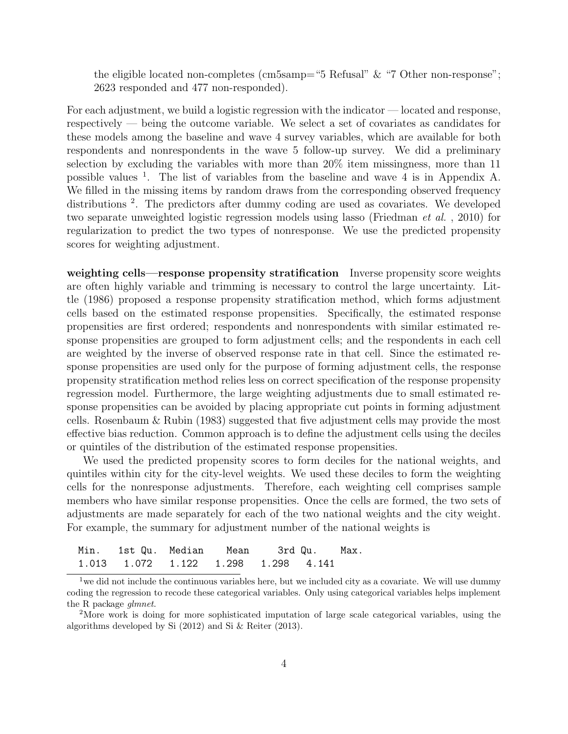the eligible located non-completes (cm5samp="5 Refusal" & "7 Other non-response"; 2623 responded and 477 non-responded).

For each adjustment, we build a logistic regression with the indicator — located and response, respectively — being the outcome variable. We select a set of covariates as candidates for these models among the baseline and wave 4 survey variables, which are available for both respondents and nonrespondents in the wave 5 follow-up survey. We did a preliminary selection by excluding the variables with more than 20% item missingness, more than 11 possible values <sup>1</sup> . The list of variables from the baseline and wave 4 is in Appendix A. We filled in the missing items by random draws from the corresponding observed frequency distributions<sup>2</sup>. The predictors after dummy coding are used as covariates. We developed two separate unweighted logistic regression models using lasso (Friedman et al. , 2010) for regularization to predict the two types of nonresponse. We use the predicted propensity scores for weighting adjustment.

weighting cells—response propensity stratification Inverse propensity score weights are often highly variable and trimming is necessary to control the large uncertainty. Little (1986) proposed a response propensity stratification method, which forms adjustment cells based on the estimated response propensities. Specifically, the estimated response propensities are first ordered; respondents and nonrespondents with similar estimated response propensities are grouped to form adjustment cells; and the respondents in each cell are weighted by the inverse of observed response rate in that cell. Since the estimated response propensities are used only for the purpose of forming adjustment cells, the response propensity stratification method relies less on correct specification of the response propensity regression model. Furthermore, the large weighting adjustments due to small estimated response propensities can be avoided by placing appropriate cut points in forming adjustment cells. Rosenbaum & Rubin (1983) suggested that five adjustment cells may provide the most effective bias reduction. Common approach is to define the adjustment cells using the deciles or quintiles of the distribution of the estimated response propensities.

We used the predicted propensity scores to form deciles for the national weights, and quintiles within city for the city-level weights. We used these deciles to form the weighting cells for the nonresponse adjustments. Therefore, each weighting cell comprises sample members who have similar response propensities. Once the cells are formed, the two sets of adjustments are made separately for each of the two national weights and the city weight. For example, the summary for adjustment number of the national weights is

| Min. 1st Qu. Median Mean 3rd Qu. Max. |  |  |  |
|---------------------------------------|--|--|--|
| 1.013 1.072 1.122 1.298 1.298 4.141   |  |  |  |

<sup>&</sup>lt;sup>1</sup> we did not include the continuous variables here, but we included city as a covariate. We will use dummy coding the regression to recode these categorical variables. Only using categorical variables helps implement the R package glmnet.

<sup>2</sup>More work is doing for more sophisticated imputation of large scale categorical variables, using the algorithms developed by Si (2012) and Si & Reiter (2013).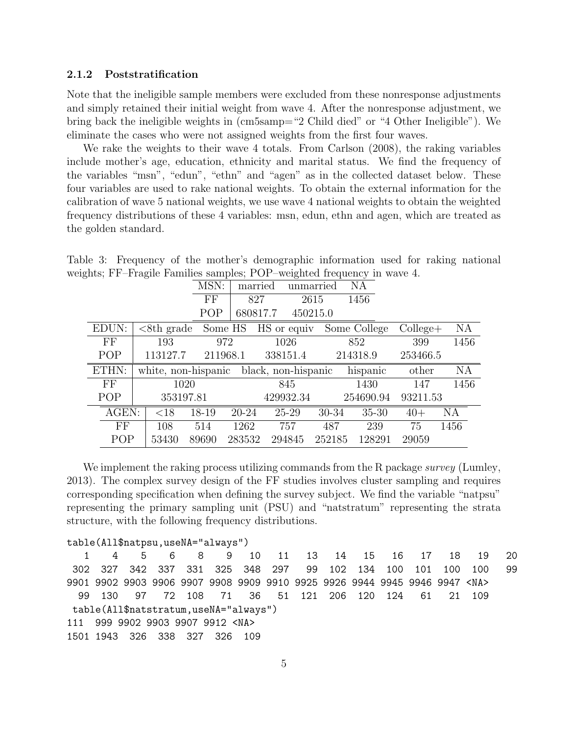#### 2.1.2 Poststratification

Note that the ineligible sample members were excluded from these nonresponse adjustments and simply retained their initial weight from wave 4. After the nonresponse adjustment, we bring back the ineligible weights in (cm5samp="2 Child died" or "4 Other Ineligible"). We eliminate the cases who were not assigned weights from the first four waves.

We rake the weights to their wave 4 totals. From Carlson (2008), the raking variables include mother's age, education, ethnicity and marital status. We find the frequency of the variables "msn", "edun", "ethn" and "agen" as in the collected dataset below. These four variables are used to rake national weights. To obtain the external information for the calibration of wave 5 national weights, we use wave 4 national weights to obtain the weighted frequency distributions of these 4 variables: msn, edun, ethn and agen, which are treated as the golden standard.

|                        | $\cup$ |                     |          | $\mathbf{r}$ |         | ິ                   | л.        | $\cdot$      |             |           |  |
|------------------------|--------|---------------------|----------|--------------|---------|---------------------|-----------|--------------|-------------|-----------|--|
|                        |        |                     | MSN:     |              | married |                     | unmarried | NA           |             |           |  |
|                        |        |                     | $\rm FF$ | 827          |         |                     | 2615      | 1456         |             |           |  |
|                        |        |                     | POP      | 680817.7     |         | 450215.0            |           |              |             |           |  |
| EDUN:                  |        | $<8$ th grade       |          | Some HS      |         | HS or equiv         |           | Some College | $Collect +$ | NA        |  |
| $\overline{\text{FF}}$ |        | 193                 |          | 972          |         | 1026                |           | 852          | 399         | 1456      |  |
| POP                    |        | 113127.7            |          | 211968.1     |         | 338151.4            |           | 214318.9     | 253466.5    |           |  |
| ETHN:                  |        | white, non-hispanic |          |              |         | black, non-hispanic |           | hispanic     | other       | <b>NA</b> |  |
| FF                     |        | 1020                |          |              |         | 845                 |           | 1430         | 147         | 1456      |  |
| POP                    |        | 353197.81           |          |              |         | 429932.34           |           | 254690.94    | 93211.53    |           |  |
| AGEN:                  |        | $<$ 18              | 18-19    | $20 - 24$    |         | 25-29               | 30-34     | $35 - 30$    | $40+$       | NА        |  |
| FF                     |        | 108                 | 514      | 1262         |         | 757                 | 487       | 239          | 75          | 1456      |  |
| POP                    |        | 53430               | 89690    | 283532       |         | 294845              | 252185    | 128291       | 29059       |           |  |

Table 3: Frequency of the mother's demographic information used for raking national weights; FF–Fragile Families samples; POP–weighted frequency in wave 4.

We implement the raking process utilizing commands from the R package *survey* (Lumley, 2013). The complex survey design of the FF studies involves cluster sampling and requires corresponding specification when defining the survey subject. We find the variable "natpsu" representing the primary sampling unit (PSU) and "natstratum" representing the strata structure, with the following frequency distributions.

```
table(All$natpsu,useNA="always")
```

```
1 4 5 6 8 9 10 11 13 14 15 16 17 18 19 20
 302 327 342 337 331 325 348 297 99 102 134 100 101 100 100 99
9901 9902 9903 9906 9907 9908 9909 9910 9925 9926 9944 9945 9946 9947 <NA>
 99 130 97 72 108 71 36 51 121 206 120 124 61 21 109
table(All$natstratum,useNA="always")
111 999 9902 9903 9907 9912 <NA>
1501 1943 326 338 327 326 109
```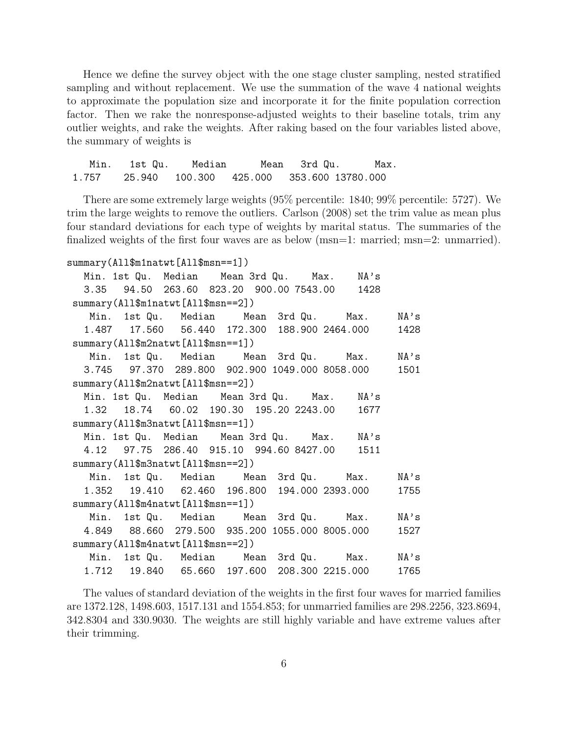Hence we define the survey object with the one stage cluster sampling, nested stratified sampling and without replacement. We use the summation of the wave 4 national weights to approximate the population size and incorporate it for the finite population correction factor. Then we rake the nonresponse-adjusted weights to their baseline totals, trim any outlier weights, and rake the weights. After raking based on the four variables listed above, the summary of weights is

Min. 1st Qu. Median Mean 3rd Qu. Max. 1.757 25.940 100.300 425.000 353.600 13780.000

There are some extremely large weights (95% percentile: 1840; 99% percentile: 5727). We trim the large weights to remove the outliers. Carlson (2008) set the trim value as mean plus four standard deviations for each type of weights by marital status. The summaries of the finalized weights of the first four waves are as below (msn=1: married; msn=2: unmarried).

```
summary(All$m1natwt[All$msn==1])
```

| Min. 1st Qu. Median Mean 3rd Qu. Max. NA's                |  |
|-----------------------------------------------------------|--|
| 3.35  94.50  263.60  823.20  900.00  7543.00  1428        |  |
| summary(All\$m1natwt[All\$msn==2])                        |  |
| Min. 1st Qu. Median Mean 3rd Qu. Max. NA's                |  |
| 1.487  17.560  56.440  172.300  188.900  2464.000  1428   |  |
| summary(All\$m2natwt[All\$msn==1])                        |  |
| Min. 1st Qu. Median Mean 3rd Qu. Max. NA's                |  |
| 3.745  97.370  289.800  902.900  1049.000  8058.000  1501 |  |
| summary(All\$m2natwt[All\$msn==2])                        |  |
| Min. 1st Qu. Median Mean 3rd Qu. Max. NA's                |  |
| 1.32  18.74  60.02  190.30  195.20  2243.00  1677         |  |
| summary(All\$m3natwt[All\$msn==1])                        |  |
| Min. 1st Qu. Median Mean 3rd Qu. Max. NA's                |  |
| 4.12 97.75 286.40 915.10 994.60 8427.00 1511              |  |
| summary(All\$m3natwt[All\$msn==2])                        |  |
| Min. 1st Qu. Median Mean 3rd Qu. Max. NA's                |  |
| 1.352  19.410  62.460  196.800  194.000  2393.000  1755   |  |
| summary(All\$m4natwt[All\$msn==1])                        |  |
| Min. 1st Qu. Median Mean 3rd Qu. Max. NA's                |  |
| 4.849  88.660  279.500  935.200  1055.000  8005.000  1527 |  |
| summary(All\$m4natwt[All\$msn==2])                        |  |
| Min. 1st Qu. Median Mean 3rd Qu. Max. NA's                |  |
| 1.712  19.840  65.660  197.600  208.300  2215.000  1765   |  |
|                                                           |  |

The values of standard deviation of the weights in the first four waves for married families are 1372.128, 1498.603, 1517.131 and 1554.853; for unmarried families are 298.2256, 323.8694, 342.8304 and 330.9030. The weights are still highly variable and have extreme values after their trimming.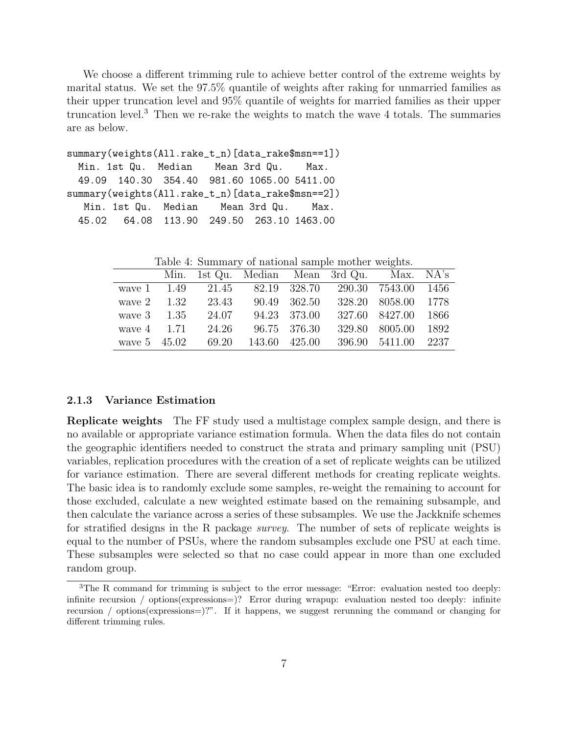We choose a different trimming rule to achieve better control of the extreme weights by marital status. We set the 97.5% quantile of weights after raking for unmarried families as their upper truncation level and 95% quantile of weights for married families as their upper truncation level.<sup>3</sup> Then we re-rake the weights to match the wave 4 totals. The summaries are as below.

```
summary(weights(All.rake_t_n)[data_rake$msn==1])
 Min. 1st Qu. Median Mean 3rd Qu. Max.
 49.09 140.30 354.40 981.60 1065.00 5411.00
summary(weights(All.rake_t_n)[data_rake$msn==2])
  Min. 1st Qu. Median Mean 3rd Qu. Max.
 45.02 64.08 113.90 249.50 263.10 1463.00
```
Table 4: Summary of national sample mother weights.

|                      |       |                     |              | Min. 1st Qu. Median Mean 3rd Qu. Max. NA's         |                     |  |
|----------------------|-------|---------------------|--------------|----------------------------------------------------|---------------------|--|
|                      |       |                     |              | wave 1 1.49 21.45 82.19 328.70 290.30 7543.00 1456 |                     |  |
| wave $2 \qquad 1.32$ | 23.43 |                     | 90.49 362.50 |                                                    | 328.20 8058.00 1778 |  |
| wave $3 \t 1.35$     | 24.07 |                     | 94.23 373.00 |                                                    | 327.60 8427.00 1866 |  |
| wave $4 \quad 1.71$  | 24.26 |                     | 96.75 376.30 |                                                    | 329.80 8005.00 1892 |  |
| wave $5 \quad 45.02$ |       | 69.20 143.60 425.00 |              |                                                    | 396.90 5411.00 2237 |  |

#### 2.1.3 Variance Estimation

Replicate weights The FF study used a multistage complex sample design, and there is no available or appropriate variance estimation formula. When the data files do not contain the geographic identifiers needed to construct the strata and primary sampling unit (PSU) variables, replication procedures with the creation of a set of replicate weights can be utilized for variance estimation. There are several different methods for creating replicate weights. The basic idea is to randomly exclude some samples, re-weight the remaining to account for those excluded, calculate a new weighted estimate based on the remaining subsample, and then calculate the variance across a series of these subsamples. We use the Jackknife schemes for stratified designs in the R package survey. The number of sets of replicate weights is equal to the number of PSUs, where the random subsamples exclude one PSU at each time. These subsamples were selected so that no case could appear in more than one excluded random group.

<sup>&</sup>lt;sup>3</sup>The R command for trimming is subject to the error message: "Error: evaluation nested too deeply: infinite recursion / options(expressions=)? Error during wrapup: evaluation nested too deeply: infinite recursion / options(expressions=)?". If it happens, we suggest rerunning the command or changing for different trimming rules.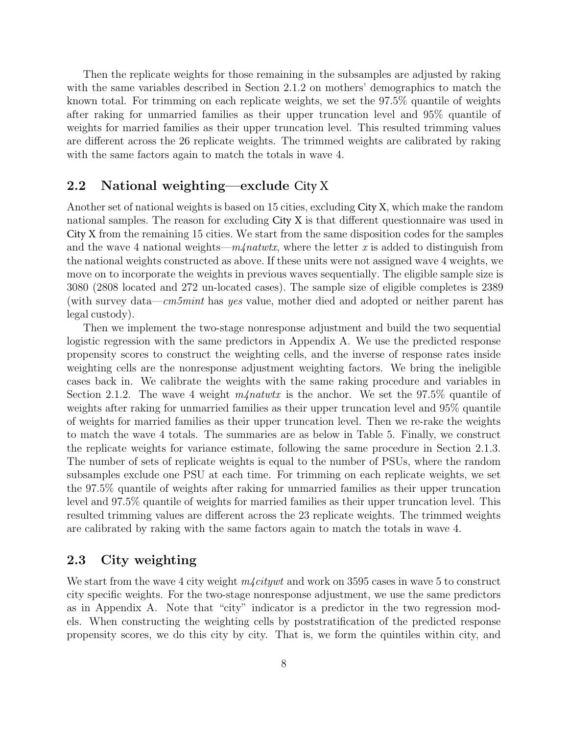Then the replicate weights for those remaining in the subsamples are adjusted by raking with the same variables described in Section 2.1.2 on mothers' demographics to match the known total. For trimming on each replicate weights, we set the 97.5% quantile of weights after raking for unmarried families as their upper truncation level and 95% quantile of weights for married families as their upper truncation level. This resulted trimming values are different across the 26 replicate weights. The trimmed weights are calibrated by raking with the same factors again to match the totals in wave 4.

### 2.2 National weighting—exclude City X

Another set of national weights is based on 15 cities, excluding City X, which make the random national samples. The reason for excluding City X is that different questionnaire was used in City X from the remaining 15 cities. We start from the same disposition codes for the samples and the wave 4 national weights— $m/$ *natwtx*, where the letter x is added to distinguish from the national weights constructed as above. If these units were not assigned wave 4 weights, we move on to incorporate the weights in previous waves sequentially. The eligible sample size is 3080 (2808 located and 272 un-located cases). The sample size of eligible completes is 2389 (with survey data—cm5mint has yes value, mother died and adopted or neither parent has legal custody).

Then we implement the two-stage nonresponse adjustment and build the two sequential logistic regression with the same predictors in Appendix A. We use the predicted response propensity scores to construct the weighting cells, and the inverse of response rates inside weighting cells are the nonresponse adjustment weighting factors. We bring the ineligible cases back in. We calibrate the weights with the same raking procedure and variables in Section 2.1.2. The wave 4 weight  $m/eta$  is the anchor. We set the 97.5% quantile of weights after raking for unmarried families as their upper truncation level and 95% quantile of weights for married families as their upper truncation level. Then we re-rake the weights to match the wave 4 totals. The summaries are as below in Table 5. Finally, we construct the replicate weights for variance estimate, following the same procedure in Section 2.1.3. The number of sets of replicate weights is equal to the number of PSUs, where the random subsamples exclude one PSU at each time. For trimming on each replicate weights, we set the 97.5% quantile of weights after raking for unmarried families as their upper truncation level and 97.5% quantile of weights for married families as their upper truncation level. This resulted trimming values are different across the 23 replicate weights. The trimmed weights are calibrated by raking with the same factors again to match the totals in wave 4.

## 2.3 City weighting

We start from the wave 4 city weight  $m\text{/}citywt$  and work on 3595 cases in wave 5 to construct city specific weights. For the two-stage nonresponse adjustment, we use the same predictors as in Appendix A. Note that "city" indicator is a predictor in the two regression models. When constructing the weighting cells by poststratification of the predicted response propensity scores, we do this city by city. That is, we form the quintiles within city, and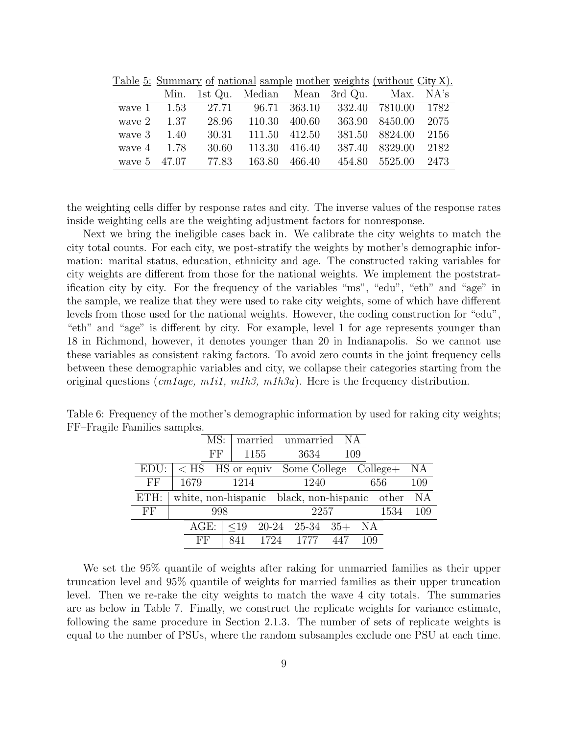|                      |  |  | Min. 1st Qu. Median Mean 3rd Qu. Max. NA's           |  |
|----------------------|--|--|------------------------------------------------------|--|
|                      |  |  | wave 1 1.53 27.71 96.71 363.10 332.40 7810.00 1782   |  |
| wave $2 \qquad 1.37$ |  |  | 28.96 110.30 400.60 363.90 8450.00 2075              |  |
| wave $3 \t 1.40$     |  |  | 30.31 111.50 412.50 381.50 8824.00 2156              |  |
| wave $4 \qquad 1.78$ |  |  | 30.60 113.30 416.40 387.40 8329.00 2182              |  |
|                      |  |  | wave 5 47.07 77.83 163.80 466.40 454.80 5525.00 2473 |  |

Table 5: Summary of national sample mother weights (without City X).

the weighting cells differ by response rates and city. The inverse values of the response rates inside weighting cells are the weighting adjustment factors for nonresponse.

Next we bring the ineligible cases back in. We calibrate the city weights to match the city total counts. For each city, we post-stratify the weights by mother's demographic information: marital status, education, ethnicity and age. The constructed raking variables for city weights are different from those for the national weights. We implement the poststratification city by city. For the frequency of the variables "ms", "edu", "eth" and "age" in the sample, we realize that they were used to rake city weights, some of which have different levels from those used for the national weights. However, the coding construction for "edu", "eth" and "age" is different by city. For example, level 1 for age represents younger than 18 in Richmond, however, it denotes younger than 20 in Indianapolis. So we cannot use these variables as consistent raking factors. To avoid zero counts in the joint frequency cells between these demographic variables and city, we collapse their categories starting from the original questions (cm1age, m1i1, m1h3, m1h3a). Here is the frequency distribution.

| $\alpha$ . |         |     |      |      |                                               |                                                          |       |     |     |      |     |
|------------|---------|-----|------|------|-----------------------------------------------|----------------------------------------------------------|-------|-----|-----|------|-----|
|            |         | MS: |      |      |                                               | married unmarried                                        |       | ΝA  |     |      |     |
|            |         | FF  |      | 1155 |                                               | 3634                                                     |       | 109 |     |      |     |
| EDU:       |         |     |      |      |                                               | $\langle$ HS $\angle$ HS or equiv Some College College + |       |     |     |      | NA  |
| FF         | 1679    |     | 1214 |      |                                               | 1240                                                     |       |     | 656 |      | 109 |
| ETH:       |         |     |      |      | white, non-hispanic black, non-hispanic other |                                                          |       |     |     | - NA |     |
| FF         |         | 998 |      |      |                                               |                                                          | 2257  |     |     | 1534 | 109 |
|            | $AGE$ : |     | <19  |      |                                               | 20-24 25-34                                              | $35+$ |     | NA  |      |     |
|            | FF      |     | 841  | 1724 |                                               | 1777                                                     | 447   |     | 109 |      |     |
|            |         |     |      |      |                                               |                                                          |       |     |     |      |     |

Table 6: Frequency of the mother's demographic information by used for raking city weights; FF–Fragile Families samples.

We set the 95% quantile of weights after raking for unmarried families as their upper truncation level and 95% quantile of weights for married families as their upper truncation level. Then we re-rake the city weights to match the wave 4 city totals. The summaries are as below in Table 7. Finally, we construct the replicate weights for variance estimate, following the same procedure in Section 2.1.3. The number of sets of replicate weights is equal to the number of PSUs, where the random subsamples exclude one PSU at each time.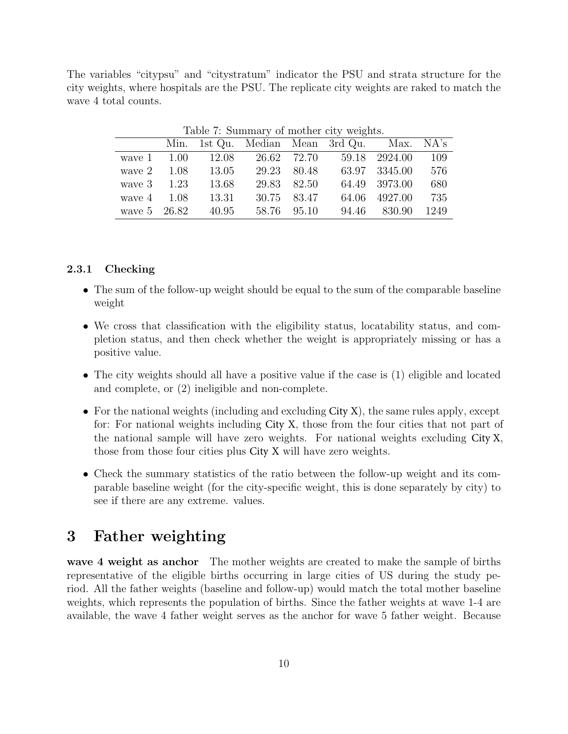The variables "citypsu" and "citystratum" indicator the PSU and strata structure for the city weights, where hospitals are the PSU. The replicate city weights are raked to match the wave 4 total counts.

|                      | Table <i>(:</i> Summary of mother city weights. |       |       |             |                                            |               |      |  |  |  |  |
|----------------------|-------------------------------------------------|-------|-------|-------------|--------------------------------------------|---------------|------|--|--|--|--|
|                      |                                                 |       |       |             | Min. 1st Qu. Median Mean 3rd Qu. Max. NA's |               |      |  |  |  |  |
| wave 1               | 1.00                                            | 12.08 |       |             | 26.62 72.70 59.18 2924.00                  |               | 109  |  |  |  |  |
| wave $2 \qquad 1.08$ |                                                 | 13.05 | 29.23 | 80.48       |                                            | 63.97 3345.00 | 576  |  |  |  |  |
| wave $3 \t 1.23$     |                                                 | 13.68 |       | 29.83 82.50 |                                            | 64.49 3973.00 | 680  |  |  |  |  |
| wave $4 \quad 1.08$  |                                                 | 13.31 |       | 30.75 83.47 | 64.06                                      | 4927.00       | 735  |  |  |  |  |
| wave 5 26.82         |                                                 | 40.95 | 58.76 | 95.10       | 94.46                                      | 830.90        | 1249 |  |  |  |  |

Table 7: Summary of mother city weights.

#### 2.3.1 Checking

- The sum of the follow-up weight should be equal to the sum of the comparable baseline weight
- We cross that classification with the eligibility status, locatability status, and completion status, and then check whether the weight is appropriately missing or has a positive value.
- The city weights should all have a positive value if the case is (1) eligible and located and complete, or (2) ineligible and non-complete.
- For the national weights (including and excluding City X), the same rules apply, except for: For national weights including City X, those from the four cities that not part of the national sample will have zero weights. For national weights excluding City X, those from those four cities plus City X will have zero weights.
- Check the summary statistics of the ratio between the follow-up weight and its comparable baseline weight (for the city-specific weight, this is done separately by city) to see if there are any extreme. values.

# 3 Father weighting

wave 4 weight as anchor The mother weights are created to make the sample of births representative of the eligible births occurring in large cities of US during the study period. All the father weights (baseline and follow-up) would match the total mother baseline weights, which represents the population of births. Since the father weights at wave 1-4 are available, the wave 4 father weight serves as the anchor for wave 5 father weight. Because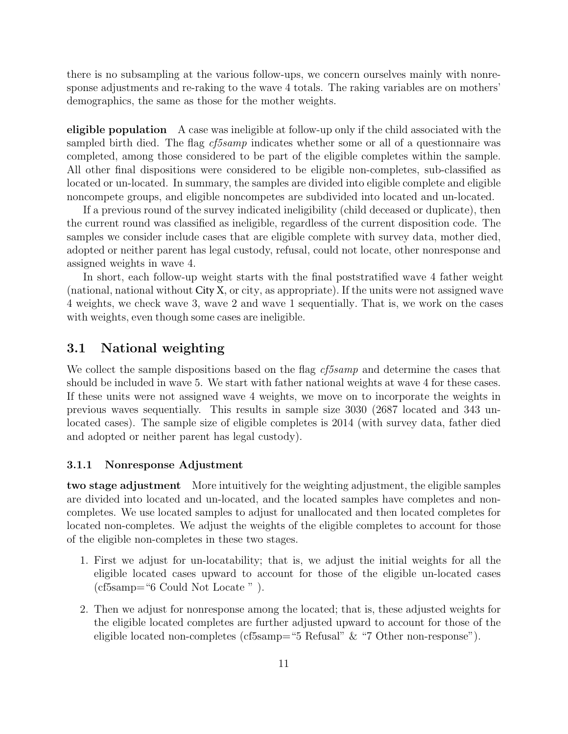there is no subsampling at the various follow-ups, we concern ourselves mainly with nonresponse adjustments and re-raking to the wave 4 totals. The raking variables are on mothers' demographics, the same as those for the mother weights.

eligible population A case was ineligible at follow-up only if the child associated with the sampled birth died. The flag *cf5samp* indicates whether some or all of a questionnaire was completed, among those considered to be part of the eligible completes within the sample. All other final dispositions were considered to be eligible non-completes, sub-classified as located or un-located. In summary, the samples are divided into eligible complete and eligible noncompete groups, and eligible noncompetes are subdivided into located and un-located.

If a previous round of the survey indicated ineligibility (child deceased or duplicate), then the current round was classified as ineligible, regardless of the current disposition code. The samples we consider include cases that are eligible complete with survey data, mother died, adopted or neither parent has legal custody, refusal, could not locate, other nonresponse and assigned weights in wave 4.

In short, each follow-up weight starts with the final poststratified wave 4 father weight (national, national without City X, or city, as appropriate). If the units were not assigned wave 4 weights, we check wave 3, wave 2 and wave 1 sequentially. That is, we work on the cases with weights, even though some cases are ineligible.

### 3.1 National weighting

We collect the sample dispositions based on the flag *cf5samp* and determine the cases that should be included in wave 5. We start with father national weights at wave 4 for these cases. If these units were not assigned wave 4 weights, we move on to incorporate the weights in previous waves sequentially. This results in sample size 3030 (2687 located and 343 unlocated cases). The sample size of eligible completes is 2014 (with survey data, father died and adopted or neither parent has legal custody).

#### 3.1.1 Nonresponse Adjustment

two stage adjustment More intuitively for the weighting adjustment, the eligible samples are divided into located and un-located, and the located samples have completes and noncompletes. We use located samples to adjust for unallocated and then located completes for located non-completes. We adjust the weights of the eligible completes to account for those of the eligible non-completes in these two stages.

- 1. First we adjust for un-locatability; that is, we adjust the initial weights for all the eligible located cases upward to account for those of the eligible un-located cases (cf5samp="6 Could Not Locate " ).
- 2. Then we adjust for nonresponse among the located; that is, these adjusted weights for the eligible located completes are further adjusted upward to account for those of the eligible located non-completes (cf5samp="5 Refusal" & "7 Other non-response").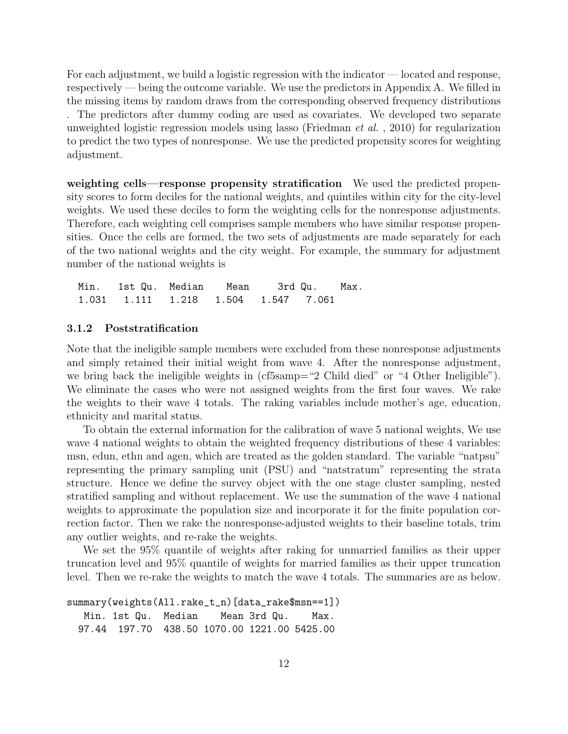For each adjustment, we build a logistic regression with the indicator — located and response, respectively — being the outcome variable. We use the predictors in Appendix A. We filled in the missing items by random draws from the corresponding observed frequency distributions . The predictors after dummy coding are used as covariates. We developed two separate unweighted logistic regression models using lasso (Friedman *et al.*, 2010) for regularization to predict the two types of nonresponse. We use the predicted propensity scores for weighting adjustment.

weighting cells—response propensity stratification We used the predicted propensity scores to form deciles for the national weights, and quintiles within city for the city-level weights. We used these deciles to form the weighting cells for the nonresponse adjustments. Therefore, each weighting cell comprises sample members who have similar response propensities. Once the cells are formed, the two sets of adjustments are made separately for each of the two national weights and the city weight. For example, the summary for adjustment number of the national weights is

Min. 1st Qu. Median Mean 3rd Qu. Max. 1.031 1.111 1.218 1.504 1.547 7.061

#### 3.1.2 Poststratification

Note that the ineligible sample members were excluded from these nonresponse adjustments and simply retained their initial weight from wave 4. After the nonresponse adjustment, we bring back the ineligible weights in (cf5samp="2 Child died" or "4 Other Ineligible"). We eliminate the cases who were not assigned weights from the first four waves. We rake the weights to their wave 4 totals. The raking variables include mother's age, education, ethnicity and marital status.

To obtain the external information for the calibration of wave 5 national weights, We use wave 4 national weights to obtain the weighted frequency distributions of these 4 variables: msn, edun, ethn and agen, which are treated as the golden standard. The variable "natpsu" representing the primary sampling unit (PSU) and "natstratum" representing the strata structure. Hence we define the survey object with the one stage cluster sampling, nested stratified sampling and without replacement. We use the summation of the wave 4 national weights to approximate the population size and incorporate it for the finite population correction factor. Then we rake the nonresponse-adjusted weights to their baseline totals, trim any outlier weights, and re-rake the weights.

We set the 95% quantile of weights after raking for unmarried families as their upper truncation level and 95% quantile of weights for married families as their upper truncation level. Then we re-rake the weights to match the wave 4 totals. The summaries are as below.

```
summary(weights(All.rake_t_n)[data_rake$msn==1])
  Min. 1st Qu. Median Mean 3rd Qu. Max.
 97.44 197.70 438.50 1070.00 1221.00 5425.00
```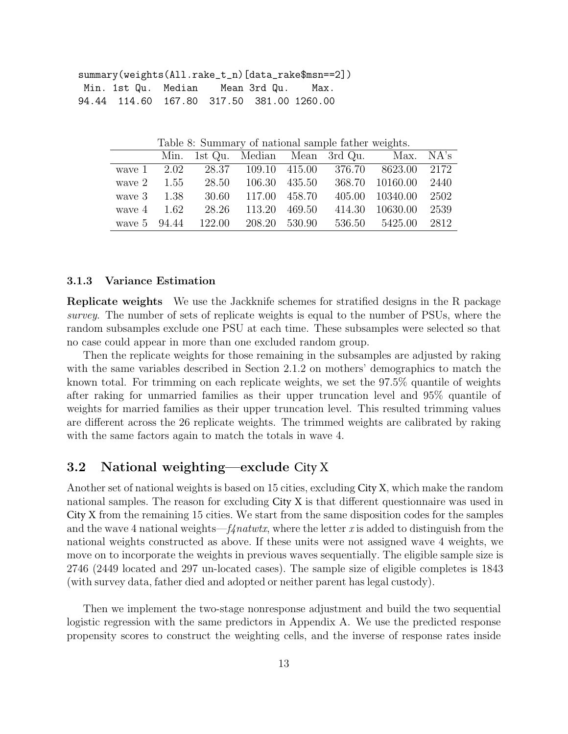| summary(weights(All.rake_t_n)[data_rake\$msn==2]) |                                           |  |  |  |  |  |  |  |  |
|---------------------------------------------------|-------------------------------------------|--|--|--|--|--|--|--|--|
|                                                   |                                           |  |  |  |  |  |  |  |  |
|                                                   | 94.44 114.60 167.80 317.50 381.00 1260.00 |  |  |  |  |  |  |  |  |

Table 8: Summary of national sample father weights.

|                      |  |                     | Min. 1st Qu. Median Mean 3rd Qu. | Max. NA's                                             |  |
|----------------------|--|---------------------|----------------------------------|-------------------------------------------------------|--|
|                      |  |                     |                                  | wave 1 2.02 28.37 109.10 415.00 376.70 8623.00 2172   |  |
| wave $2 \qquad 1.55$ |  | 28.50 106.30 435.50 |                                  | 368.70 10160.00 2440                                  |  |
| wave 3 1.38          |  | 30.60 117.00 458.70 |                                  | 405.00 10340.00 2502                                  |  |
| wave $4 \quad 1.62$  |  | 28.26 113.20 469.50 |                                  | 414.30 10630.00 2539                                  |  |
|                      |  |                     |                                  | wave 5 94.44 122.00 208.20 530.90 536.50 5425.00 2812 |  |

#### 3.1.3 Variance Estimation

Replicate weights We use the Jackknife schemes for stratified designs in the R package survey. The number of sets of replicate weights is equal to the number of PSUs, where the random subsamples exclude one PSU at each time. These subsamples were selected so that no case could appear in more than one excluded random group.

Then the replicate weights for those remaining in the subsamples are adjusted by raking with the same variables described in Section 2.1.2 on mothers' demographics to match the known total. For trimming on each replicate weights, we set the 97.5% quantile of weights after raking for unmarried families as their upper truncation level and 95% quantile of weights for married families as their upper truncation level. This resulted trimming values are different across the 26 replicate weights. The trimmed weights are calibrated by raking with the same factors again to match the totals in wave 4.

# 3.2 National weighting—exclude City X

Another set of national weights is based on 15 cities, excluding City X, which make the random national samples. The reason for excluding City X is that different questionnaire was used in City X from the remaining 15 cities. We start from the same disposition codes for the samples and the wave 4 national weights— $f\psi(x)$ , where the letter x is added to distinguish from the national weights constructed as above. If these units were not assigned wave 4 weights, we move on to incorporate the weights in previous waves sequentially. The eligible sample size is 2746 (2449 located and 297 un-located cases). The sample size of eligible completes is 1843 (with survey data, father died and adopted or neither parent has legal custody).

Then we implement the two-stage nonresponse adjustment and build the two sequential logistic regression with the same predictors in Appendix A. We use the predicted response propensity scores to construct the weighting cells, and the inverse of response rates inside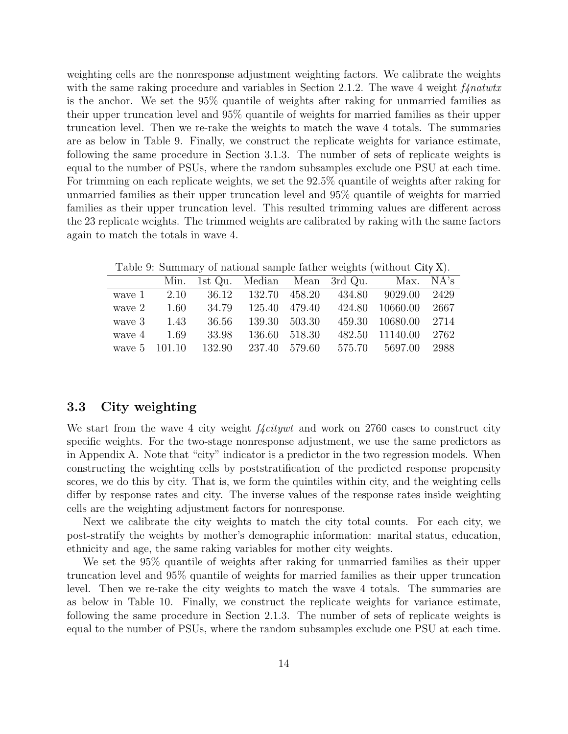weighting cells are the nonresponse adjustment weighting factors. We calibrate the weights with the same raking procedure and variables in Section 2.1.2. The wave 4 weight  $f\llap{/}natur$ is the anchor. We set the 95% quantile of weights after raking for unmarried families as their upper truncation level and 95% quantile of weights for married families as their upper truncation level. Then we re-rake the weights to match the wave 4 totals. The summaries are as below in Table 9. Finally, we construct the replicate weights for variance estimate, following the same procedure in Section 3.1.3. The number of sets of replicate weights is equal to the number of PSUs, where the random subsamples exclude one PSU at each time. For trimming on each replicate weights, we set the  $92.5\%$  quantile of weights after raking for unmarried families as their upper truncation level and 95% quantile of weights for married families as their upper truncation level. This resulted trimming values are different across the 23 replicate weights. The trimmed weights are calibrated by raking with the same factors again to match the totals in wave 4.

| Table 9: Summary of national sample father weights (without City X). |      |        |                                  |        |        |                |      |  |  |
|----------------------------------------------------------------------|------|--------|----------------------------------|--------|--------|----------------|------|--|--|
|                                                                      |      |        | Min. 1st Qu. Median Mean 3rd Qu. |        |        | Max. NA's      |      |  |  |
| wave 1                                                               | 2.10 |        | 36.12 132.70 458.20              |        |        | 434.80 9029.00 | 2429 |  |  |
| wave 2                                                               | 1.60 | 34.79  | 125.40                           | 479.40 | 424.80 | 10660.00       | 2667 |  |  |
| wave 3                                                               | 1.43 | 36.56  | 139.30                           | 503.30 | 459.30 | 10680.00       | 2714 |  |  |
| wave 4                                                               | 1.69 | 33.98  | 136.60                           | 518.30 | 482.50 | 11140.00       | 2762 |  |  |
| wave 5 101.10                                                        |      | 132.90 | 237.40                           | 579.60 | 575.70 | 5697.00        | 2988 |  |  |

Table 9: Summary of national sample father weights (without City X).

#### 3.3 City weighting

We start from the wave 4 city weight  $f_{\text{4}}$ *citywt* and work on 2760 cases to construct city specific weights. For the two-stage nonresponse adjustment, we use the same predictors as in Appendix A. Note that "city" indicator is a predictor in the two regression models. When constructing the weighting cells by poststratification of the predicted response propensity scores, we do this by city. That is, we form the quintiles within city, and the weighting cells differ by response rates and city. The inverse values of the response rates inside weighting cells are the weighting adjustment factors for nonresponse.

Next we calibrate the city weights to match the city total counts. For each city, we post-stratify the weights by mother's demographic information: marital status, education, ethnicity and age, the same raking variables for mother city weights.

We set the 95% quantile of weights after raking for unmarried families as their upper truncation level and 95% quantile of weights for married families as their upper truncation level. Then we re-rake the city weights to match the wave 4 totals. The summaries are as below in Table 10. Finally, we construct the replicate weights for variance estimate, following the same procedure in Section 2.1.3. The number of sets of replicate weights is equal to the number of PSUs, where the random subsamples exclude one PSU at each time.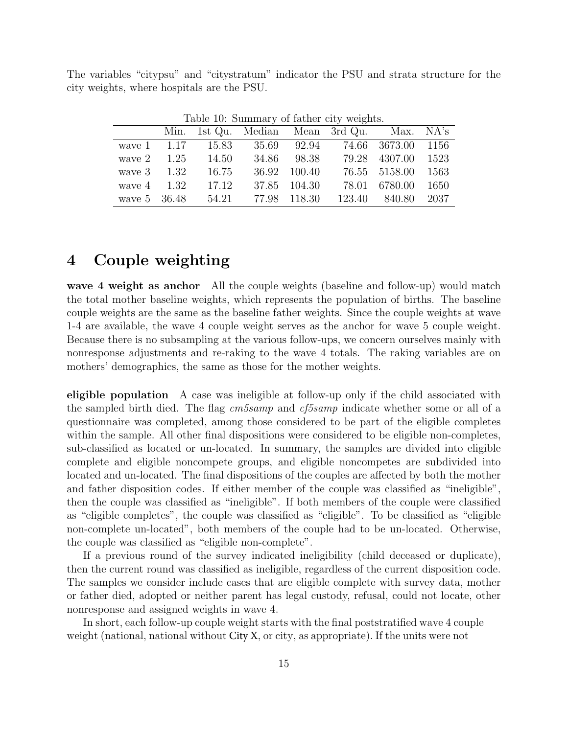The variables "citypsu" and "citystratum" indicator the PSU and strata structure for the city weights, where hospitals are the PSU.

|                      |       |              | Table 10. Danmary of Romer Crey Weights.   |                    |      |
|----------------------|-------|--------------|--------------------------------------------|--------------------|------|
|                      |       |              | Min. 1st Qu. Median Mean 3rd Qu. Max. NA's |                    |      |
| wave $1 \quad 1.17$  | 15.83 |              | 35.69 92.94 74.66 3673.00 1156             |                    |      |
| wave $2 \qquad 1.25$ | 14.50 | 34.86 98.38  |                                            | 79.28 4307.00 1523 |      |
| wave $3 \t 1.32$     | 16.75 | 36.92 100.40 |                                            | 76.55 5158.00 1563 |      |
| wave $4 \quad 1.32$  | 17.12 | 37.85 104.30 |                                            | 78.01 6780.00      | 1650 |
| wave 5 36.48         | 54.21 | 77.98 118.30 |                                            | 123.40 840.80 2037 |      |

Table 10: Summary of father city weights.

# 4 Couple weighting

wave 4 weight as anchor All the couple weights (baseline and follow-up) would match the total mother baseline weights, which represents the population of births. The baseline couple weights are the same as the baseline father weights. Since the couple weights at wave 1-4 are available, the wave 4 couple weight serves as the anchor for wave 5 couple weight. Because there is no subsampling at the various follow-ups, we concern ourselves mainly with nonresponse adjustments and re-raking to the wave 4 totals. The raking variables are on mothers' demographics, the same as those for the mother weights.

eligible population A case was ineligible at follow-up only if the child associated with the sampled birth died. The flag cm5samp and cf5samp indicate whether some or all of a questionnaire was completed, among those considered to be part of the eligible completes within the sample. All other final dispositions were considered to be eligible non-completes, sub-classified as located or un-located. In summary, the samples are divided into eligible complete and eligible noncompete groups, and eligible noncompetes are subdivided into located and un-located. The final dispositions of the couples are affected by both the mother and father disposition codes. If either member of the couple was classified as "ineligible", then the couple was classified as "ineligible". If both members of the couple were classified as "eligible completes", the couple was classified as "eligible". To be classified as "eligible non-complete un-located", both members of the couple had to be un-located. Otherwise, the couple was classified as "eligible non-complete".

If a previous round of the survey indicated ineligibility (child deceased or duplicate), then the current round was classified as ineligible, regardless of the current disposition code. The samples we consider include cases that are eligible complete with survey data, mother or father died, adopted or neither parent has legal custody, refusal, could not locate, other nonresponse and assigned weights in wave 4.

In short, each follow-up couple weight starts with the final poststratified wave 4 couple weight (national, national without City X, or city, as appropriate). If the units were not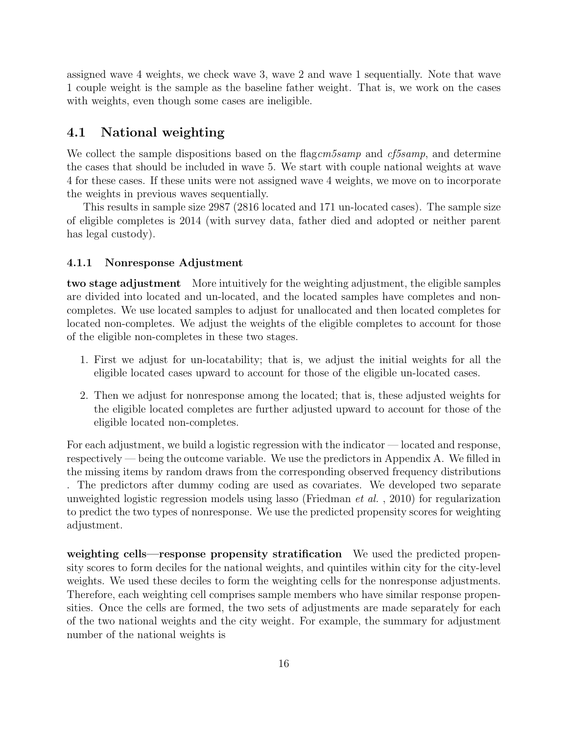assigned wave 4 weights, we check wave 3, wave 2 and wave 1 sequentially. Note that wave 1 couple weight is the sample as the baseline father weight. That is, we work on the cases with weights, even though some cases are ineligible.

### 4.1 National weighting

We collect the sample dispositions based on the flag  $cm5samp$  and  $cf5samp$ , and determine the cases that should be included in wave 5. We start with couple national weights at wave 4 for these cases. If these units were not assigned wave 4 weights, we move on to incorporate the weights in previous waves sequentially.

This results in sample size 2987 (2816 located and 171 un-located cases). The sample size of eligible completes is 2014 (with survey data, father died and adopted or neither parent has legal custody).

#### 4.1.1 Nonresponse Adjustment

two stage adjustment More intuitively for the weighting adjustment, the eligible samples are divided into located and un-located, and the located samples have completes and noncompletes. We use located samples to adjust for unallocated and then located completes for located non-completes. We adjust the weights of the eligible completes to account for those of the eligible non-completes in these two stages.

- 1. First we adjust for un-locatability; that is, we adjust the initial weights for all the eligible located cases upward to account for those of the eligible un-located cases.
- 2. Then we adjust for nonresponse among the located; that is, these adjusted weights for the eligible located completes are further adjusted upward to account for those of the eligible located non-completes.

For each adjustment, we build a logistic regression with the indicator — located and response, respectively — being the outcome variable. We use the predictors in Appendix A. We filled in the missing items by random draws from the corresponding observed frequency distributions . The predictors after dummy coding are used as covariates. We developed two separate unweighted logistic regression models using lasso (Friedman *et al.*, 2010) for regularization to predict the two types of nonresponse. We use the predicted propensity scores for weighting adjustment.

weighting cells—response propensity stratification We used the predicted propensity scores to form deciles for the national weights, and quintiles within city for the city-level weights. We used these deciles to form the weighting cells for the nonresponse adjustments. Therefore, each weighting cell comprises sample members who have similar response propensities. Once the cells are formed, the two sets of adjustments are made separately for each of the two national weights and the city weight. For example, the summary for adjustment number of the national weights is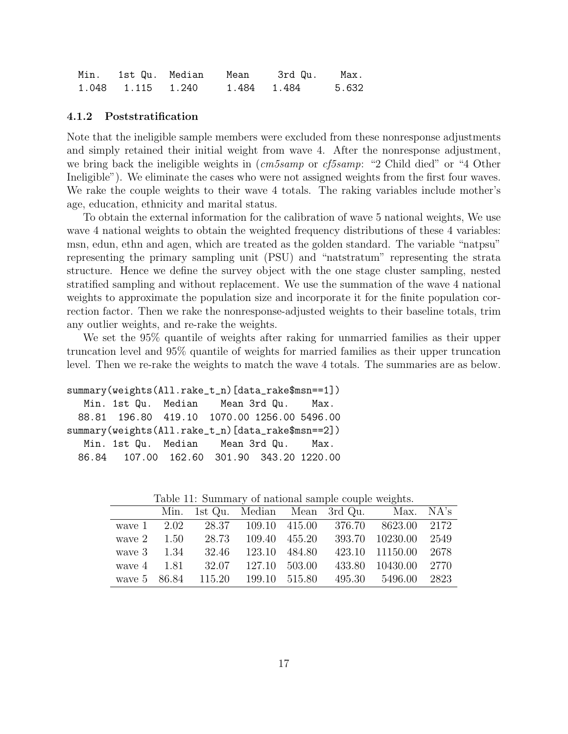|                   | Min. 1st Qu. Median Mean |             | 3rd Qu. | Max.  |
|-------------------|--------------------------|-------------|---------|-------|
| 1.048 1.115 1.240 |                          | 1.484 1.484 |         | 5.632 |

#### 4.1.2 Poststratification

Note that the ineligible sample members were excluded from these nonresponse adjustments and simply retained their initial weight from wave 4. After the nonresponse adjustment, we bring back the ineligible weights in  $(m5samp)$  or  $cf5samp:$  "2 Child died" or "4 Other Ineligible"). We eliminate the cases who were not assigned weights from the first four waves. We rake the couple weights to their wave 4 totals. The raking variables include mother's age, education, ethnicity and marital status.

To obtain the external information for the calibration of wave 5 national weights, We use wave 4 national weights to obtain the weighted frequency distributions of these 4 variables: msn, edun, ethn and agen, which are treated as the golden standard. The variable "natpsu" representing the primary sampling unit (PSU) and "natstratum" representing the strata structure. Hence we define the survey object with the one stage cluster sampling, nested stratified sampling and without replacement. We use the summation of the wave 4 national weights to approximate the population size and incorporate it for the finite population correction factor. Then we rake the nonresponse-adjusted weights to their baseline totals, trim any outlier weights, and re-rake the weights.

We set the 95% quantile of weights after raking for unmarried families as their upper truncation level and 95% quantile of weights for married families as their upper truncation level. Then we re-rake the weights to match the wave 4 totals. The summaries are as below.

```
summary(weights(All.rake_t_n)[data_rake$msn==1])
  Min. 1st Qu. Median Mean 3rd Qu. Max.
 88.81 196.80 419.10 1070.00 1256.00 5496.00
summary(weights(All.rake_t_n)[data_rake$msn==2])
  Min. 1st Qu. Median Mean 3rd Qu. Max.
 86.84 107.00 162.60 301.90 343.20 1220.00
```

|  |  |  | Min. 1st Qu. Median Mean 3rd Qu. Max. NA's           |  |
|--|--|--|------------------------------------------------------|--|
|  |  |  | wave 1 2.02 28.37 109.10 415.00 376.70 8623.00 2172  |  |
|  |  |  | wave 2 1.50 28.73 109.40 455.20 393.70 10230.00 2549 |  |
|  |  |  | wave 3 1.34 32.46 123.10 484.80 423.10 11150.00 2678 |  |
|  |  |  | wave 4 1.81 32.07 127.10 503.00 433.80 10430.00 2770 |  |

wave 5 86.84 115.20 199.10 515.80 495.30 5496.00 2823

Table 11: Summary of national sample couple weights.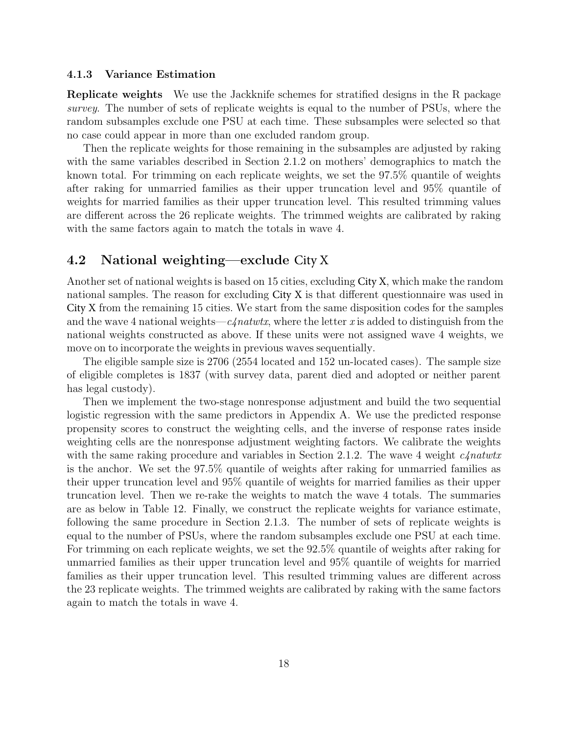#### 4.1.3 Variance Estimation

Replicate weights We use the Jackknife schemes for stratified designs in the R package survey. The number of sets of replicate weights is equal to the number of PSUs, where the random subsamples exclude one PSU at each time. These subsamples were selected so that no case could appear in more than one excluded random group.

Then the replicate weights for those remaining in the subsamples are adjusted by raking with the same variables described in Section 2.1.2 on mothers' demographics to match the known total. For trimming on each replicate weights, we set the 97.5% quantile of weights after raking for unmarried families as their upper truncation level and 95% quantile of weights for married families as their upper truncation level. This resulted trimming values are different across the 26 replicate weights. The trimmed weights are calibrated by raking with the same factors again to match the totals in wave 4.

### 4.2 National weighting—exclude City X

Another set of national weights is based on 15 cities, excluding City X, which make the random national samples. The reason for excluding City X is that different questionnaire was used in City X from the remaining 15 cities. We start from the same disposition codes for the samples and the wave 4 national weights—c $\ell$ natwtx, where the letter x is added to distinguish from the national weights constructed as above. If these units were not assigned wave 4 weights, we move on to incorporate the weights in previous waves sequentially.

The eligible sample size is 2706 (2554 located and 152 un-located cases). The sample size of eligible completes is 1837 (with survey data, parent died and adopted or neither parent has legal custody).

Then we implement the two-stage nonresponse adjustment and build the two sequential logistic regression with the same predictors in Appendix A. We use the predicted response propensity scores to construct the weighting cells, and the inverse of response rates inside weighting cells are the nonresponse adjustment weighting factors. We calibrate the weights with the same raking procedure and variables in Section 2.1.2. The wave 4 weight  $c4natur$ is the anchor. We set the 97.5% quantile of weights after raking for unmarried families as their upper truncation level and 95% quantile of weights for married families as their upper truncation level. Then we re-rake the weights to match the wave 4 totals. The summaries are as below in Table 12. Finally, we construct the replicate weights for variance estimate, following the same procedure in Section 2.1.3. The number of sets of replicate weights is equal to the number of PSUs, where the random subsamples exclude one PSU at each time. For trimming on each replicate weights, we set the  $92.5\%$  quantile of weights after raking for unmarried families as their upper truncation level and 95% quantile of weights for married families as their upper truncation level. This resulted trimming values are different across the 23 replicate weights. The trimmed weights are calibrated by raking with the same factors again to match the totals in wave 4.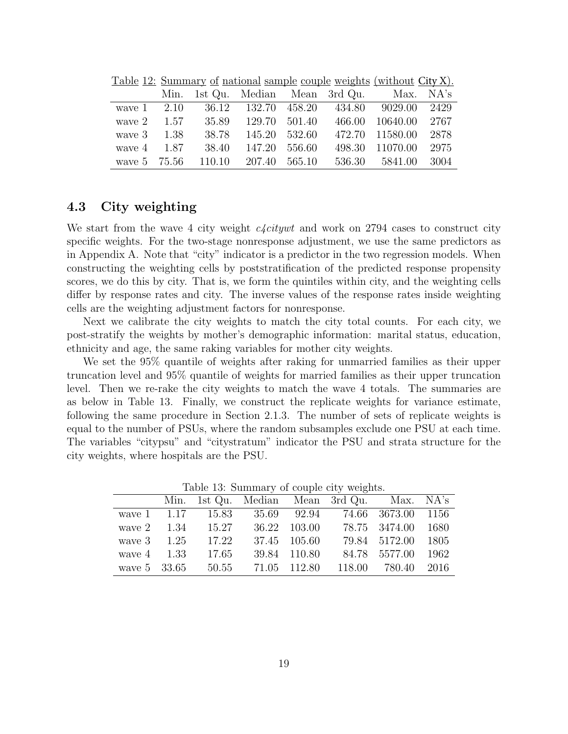|                  |  |                                 |  | Min. 1st Qu. Median Mean 3rd Qu. Max. NA's            |  |
|------------------|--|---------------------------------|--|-------------------------------------------------------|--|
|                  |  |                                 |  | wave 1 2.10 36.12 132.70 458.20 434.80 9029.00 2429   |  |
|                  |  |                                 |  | wave 2 1.57 35.89 129.70 501.40 466.00 10640.00 2767  |  |
| wave $3 \t 1.38$ |  |                                 |  | 38.78 145.20 532.60 472.70 11580.00 2878              |  |
|                  |  | wave 4 1.87 38.40 147.20 556.60 |  | 498.30 11070.00 2975                                  |  |
|                  |  |                                 |  | wave 5 75.56 110.10 207.40 565.10 536.30 5841.00 3004 |  |

Table 12: Summary of national sample couple weights (without City X).

## 4.3 City weighting

We start from the wave 4 city weight  $c\text{-}left$  and work on 2794 cases to construct city specific weights. For the two-stage nonresponse adjustment, we use the same predictors as in Appendix A. Note that "city" indicator is a predictor in the two regression models. When constructing the weighting cells by poststratification of the predicted response propensity scores, we do this by city. That is, we form the quintiles within city, and the weighting cells differ by response rates and city. The inverse values of the response rates inside weighting cells are the weighting adjustment factors for nonresponse.

Next we calibrate the city weights to match the city total counts. For each city, we post-stratify the weights by mother's demographic information: marital status, education, ethnicity and age, the same raking variables for mother city weights.

We set the 95% quantile of weights after raking for unmarried families as their upper truncation level and 95% quantile of weights for married families as their upper truncation level. Then we re-rake the city weights to match the wave 4 totals. The summaries are as below in Table 13. Finally, we construct the replicate weights for variance estimate, following the same procedure in Section 2.1.3. The number of sets of replicate weights is equal to the number of PSUs, where the random subsamples exclude one PSU at each time. The variables "citypsu" and "citystratum" indicator the PSU and strata structure for the city weights, where hospitals are the PSU.

|                      |                    |              | Lable 15. Summary of couple city weights.        |                    |  |
|----------------------|--------------------|--------------|--------------------------------------------------|--------------------|--|
|                      |                    |              | Min. 1st Qu. Median Mean 3rd Qu. Max. NA's       |                    |  |
|                      |                    |              | wave 1 1.17 15.83 35.69 92.94 74.66 3673.00 1156 |                    |  |
| wave $2 \qquad 1.34$ | 15.27              | 36.22 103.00 |                                                  | 78.75 3474.00 1680 |  |
| wave $3 \t 1.25$     | 17.22              | 37.45 105.60 |                                                  | 79.84 5172.00 1805 |  |
| wave $4 \quad 1.33$  | 17.65              | 39.84 110.80 |                                                  | 84.78 5577.00 1962 |  |
|                      | wave 5 33.65 50.55 | 71.05 112.80 | 118.00 780.40 2016                               |                    |  |

Table 13: Summary of couple city weights.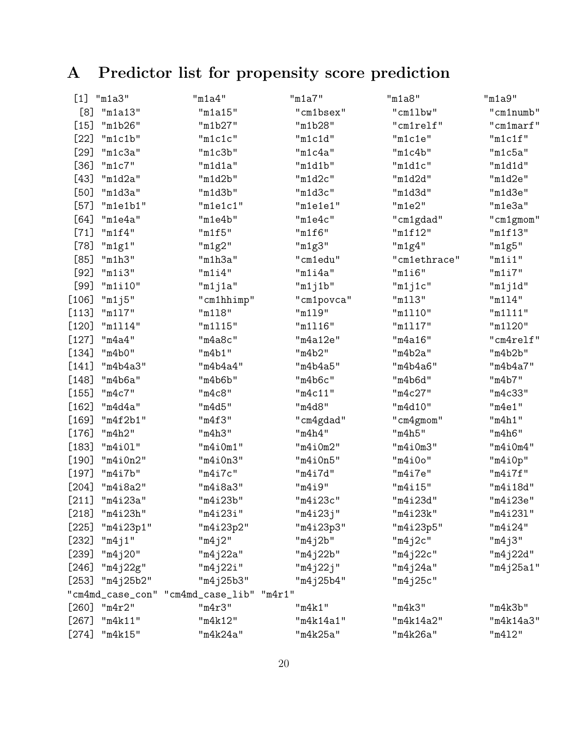# A Predictor list for propensity score prediction

| $[1]$   | "m1a3"          | "m1a4"                                   | "m1a7"     | "m1a8"       | "m1a9"    |
|---------|-----------------|------------------------------------------|------------|--------------|-----------|
| [8]     | "m1a13"         | "m1a15"                                  | "cm1bsex"  | "cm1lbw"     | "cm1numb" |
| $[15]$  | "m1b26"         | "m1b27"                                  | "m1b28"    | "cm1relf"    | "cm1marf" |
| $[22]$  | "m1c1b"         | "m1c1c"                                  | "m1c1d"    | "m1c1e"      | "m1c1f"   |
| $[29]$  | "m1c3a"         | "m1c3b"                                  | "m1c4a"    | "m1c4b"      | "m1c5a"   |
| $[36]$  | "m1c7"          | "m1d1a"                                  | "m1d1b"    | "m1d1c"      | "m1d1d"   |
| $[43]$  | "m1d2a"         | "m1d2b"                                  | "m1d2c"    | "m1d2d"      | "m1d2e"   |
| [50]    | "m1d3a"         | "m1d3b"                                  | "m1d3c"    | "m1d3d"      | "m1d3e"   |
| $[57]$  | "m1e1b1"        | "m1e1c1"                                 | "m1e1e1"   | "m1e2"       | "m1e3a"   |
| [64]    | "m1e4a"         | "m1e4b"                                  | "m1e4c"    | "cm1gdad"    | "cm1gmom" |
| $[71]$  | "m1f4"          | "m1f5"                                   | "m1f6"     | "m1f12"      | "m1f13"   |
| $[78]$  | "m1g1"          | "m1g2"                                   | "m1g3"     | "m1g4"       | "m1g5"    |
| [85]    | "m1h3"          | "m1h3a"                                  | "cm1edu"   | "cm1ethrace" | "m1i1"    |
| $[92]$  | "m1i3"          | "m1i4"                                   | "m1i4a"    | "m1i6"       | "m1i7"    |
| $[99]$  | "m1i10"         | "m1j1a"                                  | "m1j1b"    | "m1j1c"      | "m1j1d"   |
| $[106]$ | "m1j5"          | "cm1hhimp"                               | "cm1povca" | "m113"       | "m114"    |
| $[113]$ | "m117"          | "m118"                                   | "m119"     | "m1110"      | "m1111"   |
| $[120]$ | "m1114"         | "m1115"                                  | "m1116"    | "m1117"      | "m1120"   |
| $[127]$ | "m4a4"          | "m4a8c"                                  | "m4a12e"   | "m4a16"      | "cm4relf" |
| $[134]$ | "m4b0"          | "m4b1"                                   | "m4b2"     | "m4b2a"      | "m4b2b"   |
| $[141]$ | "m4b4a3"        | "m4b4a4"                                 | "m4b4a5"   | "m4b4a6"     | "m4b4a7"  |
| $[148]$ | "m4b6a"         | "m4b6b"                                  | "m4b6c"    | "m4b6d"      | "m4b7"    |
| $[155]$ | "m4c7"          | "m4c8"                                   | "m4c11"    | "m4c27"      | "m4c33"   |
| $[162]$ | "m4d4a"         | "m4d5"                                   | "m4d8"     | "m4d10"      | "m4e1"    |
| $[169]$ | "m4f2b1"        | "m4f3"                                   | "cm4gdad"  | "cm4gmom"    | "m4h1"    |
| $[176]$ | "m4h2"          | "m4h3"                                   | "m4h4"     | "m4h5"       | "m4h6"    |
| $[183]$ | "m4i01"         | "m4i0m1"                                 | "m4i0m2"   | "m4i0m3"     | "m4i0m4"  |
| $[190]$ | "m4i0n2"        | "m4i0n3"                                 | "m4i0n5"   | "m4i0o"      | "m4i0p"   |
| $[197]$ | "m4i7b"         | "m4i7c"                                  | "m4i7d"    | "m4i7e"      | "m4i7f"   |
| $[204]$ | "m4i8a2"        | "m4i8a3"                                 | "m4i9"     | "m4i15"      | "m4i18d"  |
| $[211]$ | "m4i23a"        | "m4i23b"                                 | "m4i23c"   | "m4i23d"     | "m4i23e"  |
| [218]   | "m4i23h"        | "m4i23i"                                 | "m4i23j"   | "m4i23k"     | "m4i231"  |
| $[225]$ | "m4i23p1"       | "m4i23p2"                                | "m4i23p3"  | "m4i23p5"    | "m4i24"   |
| $[232]$ | "m4j1"          | "m4j2"                                   | "m4j2b"    | "m4j2c"      | "m4j3"    |
| $[239]$ | "m4j20"         | "m4j22a"                                 | "m4j22b"   | "m4j22c"     | "m4j22d"  |
| $[246]$ | "m4j22g"        | $"$ m4j22i"                              | "m4j22j"   | "m4j24a"     | "m4j25a1" |
| [253]   | "m4j25b2"       | "m4j25b3"                                | "m4j25b4"  | "m4j25c"     |           |
|         |                 | "cm4md_case_con" "cm4md_case_lib" "m4r1" |            |              |           |
|         | $[260]$ "m4r2"  | "m4r3"                                   | "m4k1"     | "m4k3"       | "m4k3b"   |
| $[267]$ | "m4k11"         | "m4k12"                                  | "m4k14a1"  | "m4k14a2"    | "m4k14a3" |
|         | $[274]$ "m4k15" | "m4k24a"                                 | "m4k25a"   | "m4k26a"     | "m412"    |